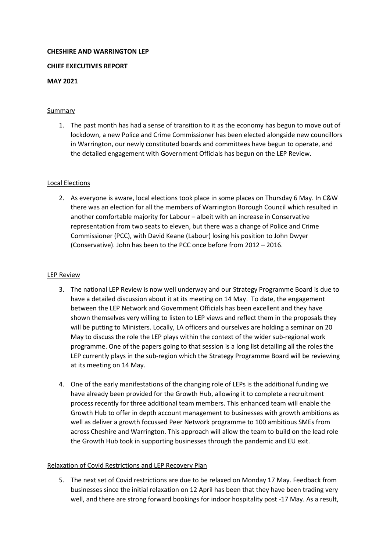# **CHESHIRE AND WARRINGTON LEP**

# **CHIEF EXECUTIVES REPORT**

# **MAY 2021**

# Summary

1. The past month has had a sense of transition to it as the economy has begun to move out of lockdown, a new Police and Crime Commissioner has been elected alongside new councillors in Warrington, our newly constituted boards and committees have begun to operate, and the detailed engagement with Government Officials has begun on the LEP Review.

### Local Elections

2. As everyone is aware, local elections took place in some places on Thursday 6 May. In C&W there was an election for all the members of Warrington Borough Council which resulted in another comfortable majority for Labour – albeit with an increase in Conservative representation from two seats to eleven, but there was a change of Police and Crime Commissioner (PCC), with David Keane (Labour) losing his position to John Dwyer (Conservative). John has been to the PCC once before from 2012 – 2016.

### LEP Review

- 3. The national LEP Review is now well underway and our Strategy Programme Board is due to have a detailed discussion about it at its meeting on 14 May. To date, the engagement between the LEP Network and Government Officials has been excellent and they have shown themselves very willing to listen to LEP views and reflect them in the proposals they will be putting to Ministers. Locally, LA officers and ourselves are holding a seminar on 20 May to discuss the role the LEP plays within the context of the wider sub-regional work programme. One of the papers going to that session is a long list detailing all the roles the LEP currently plays in the sub-region which the Strategy Programme Board will be reviewing at its meeting on 14 May.
- 4. One of the early manifestations of the changing role of LEPs is the additional funding we have already been provided for the Growth Hub, allowing it to complete a recruitment process recently for three additional team members. This enhanced team will enable the Growth Hub to offer in depth account management to businesses with growth ambitions as well as deliver a growth focussed Peer Network programme to 100 ambitious SMEs from across Cheshire and Warrington. This approach will allow the team to build on the lead role the Growth Hub took in supporting businesses through the pandemic and EU exit.

### Relaxation of Covid Restrictions and LEP Recovery Plan

5. The next set of Covid restrictions are due to be relaxed on Monday 17 May. Feedback from businesses since the initial relaxation on 12 April has been that they have been trading very well, and there are strong forward bookings for indoor hospitality post -17 May. As a result,